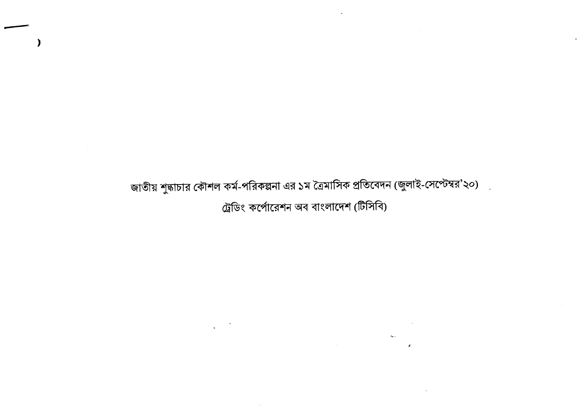জাতীয় শুদ্ধাচার কৌশল কর্ম-পরিকল্পনা এর ১ম ত্রৈমাসিক প্রতিবেদন (জুলাই-সেপ্টেম্বর'২০) ট্রেডিং কর্পোরেশন অব বাংলাদেশ (টিসিবি)

 $\sim$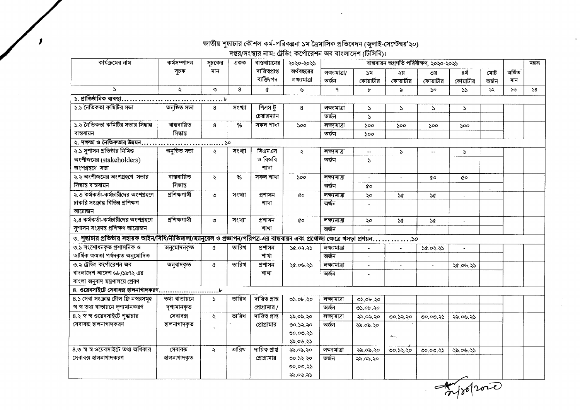## জাতীয় শুদ্ধাচার কৌশল কর্ম-পরিকল্পনা ১ম ত্রৈমাসিক প্রতিবেদন (জুলাই-সেপ্টেম্বর'২০)<br>দপ্তর/সংস্থার নাম: ট্রেডিং কর্পোরেশন অব বাংলাদেশ (টিসিবি)।

 $\mathbf{r}$ 

| কাৰ্যক্ৰমের নাম                                                                                                                      | কর্মসম্পাদন    | সূচকের              | একক    | বান্তবায়নের                  | ২০২০-২০২১                 |                        |                  | বাস্তবায়ন অগ্রগতি পরিবীক্ষণ, ২০২০-২০২১ |                   | মন্তব্য            |              |               |    |
|--------------------------------------------------------------------------------------------------------------------------------------|----------------|---------------------|--------|-------------------------------|---------------------------|------------------------|------------------|-----------------------------------------|-------------------|--------------------|--------------|---------------|----|
|                                                                                                                                      | সূচক           | মান                 |        | দায়িত্বপ্ৰাপ্ত<br>ব্যক্তি/পদ | অর্থবছরের<br>লক্ষ্যমাত্ৰা | লক্ষ্যমাত্ৰা/<br>অৰ্জন | ১ম<br>কোয়ার্টার | ২য়<br>কোয়ার্টার                       | ৩য়<br>কোয়ার্টার | 8र्थ<br>কোয়ার্টার | মোট<br>অৰ্জন | অৰ্জিত<br>মান |    |
| $\Delta$                                                                                                                             | $\ddot{\sim}$  | $\circ$             | 8      | ¢                             | ىق                        | ٩                      | Ъ                | $\epsilon$                              | $50^{\circ}$      | 55                 | ১২           | $50^{\circ}$  | 58 |
| ১. প্রাতিষ্ঠানিক ব্যবস্থা.                                                                                                           |                | $\ldots \ldots$     |        |                               |                           |                        |                  |                                         |                   |                    |              |               |    |
| ১.১ নৈতিকতা কমিটির সভা                                                                                                               | অনুষ্ঠিত সভা   | 8                   | সংখ্যা | পিএস টু                       | 8                         | লক্ষ্যমাত্ৰা           | S.               | $\mathcal{L}$                           | $\mathcal{L}$     | S.                 |              |               |    |
|                                                                                                                                      |                |                     |        | চেয়ারম্যান                   |                           | অৰ্জন                  | $\mathbf{S}$     |                                         |                   |                    |              |               |    |
| ১.২ নৈতিকতা কমিটির সভার সিদ্ধান্ত                                                                                                    | ৰান্তৰায়িত    | 8                   | %      | সকল শাখা                      | ১০০                       | লক্ষ্যমাত্ৰা           | ১০০              | 500                                     | 500               | ১০০                |              |               |    |
| ৰান্তবায়ন                                                                                                                           | সিদ্ধান্ত      |                     |        |                               |                           | অৰ্জন                  | 500              |                                         |                   |                    |              |               |    |
| ২. দক্ষতা ও নৈতিকতার উন্নয়ন                                                                                                         |                | ১০                  |        |                               |                           |                        |                  |                                         |                   |                    |              |               |    |
| ২.১ সুশাসন প্রতিষ্ঠার নিমিত্ত                                                                                                        | অনষ্ঠিত সভা    | Ź.                  | সংখ্যা | সিএমএস                        | $\mathbf{z}$              | লক্ষ্যমাত্ৰা           |                  | $\mathcal{L}$                           |                   | $\mathcal{L}$      |              |               |    |
| অংশীজনের (stakeholders)                                                                                                              |                |                     |        | ও বিওবি                       |                           | অৰ্জন                  | $\mathbf{A}$     |                                         |                   |                    |              |               |    |
| অংশগ্ৰহণে সভা                                                                                                                        |                |                     |        | শাখা                          |                           |                        |                  |                                         |                   |                    |              |               |    |
| ২.২ অংশীজনের অংশগ্রহণে সভার                                                                                                          | ৰান্তৰায়িত    | $\ddot{\mathbf{z}}$ | %      | সকল শাখা                      | 500                       | লক্ষ্যমাত্ৰা           | ÷.               | $\overline{\phantom{a}}$                | QΟ                | ¢о                 |              |               |    |
| সিদ্ধান্ত বান্তবায়ন                                                                                                                 | সিদ্ধান্ত      |                     |        |                               |                           | অৰ্জন                  | άo               |                                         |                   |                    |              |               |    |
| ২.৩ কর্মকর্তা-কর্মচারীদের অংশগ্রহণে                                                                                                  | প্ৰশিক্ষণাৰ্থী | ৩                   | সংখ্যা | প্ৰশাসন                       | đο                        | লক্ষ্যমাত্ৰা           | ২০               | $\mathcal{A}$                           | $\Delta \alpha$   |                    |              |               |    |
| চাকরি সংক্রান্ত বিভিন্ন প্রশিক্ষণ                                                                                                    |                |                     |        | শাখা                          |                           | অৰ্জন                  |                  |                                         |                   |                    |              |               |    |
| আয়োজন                                                                                                                               |                |                     |        |                               |                           |                        |                  |                                         |                   |                    |              |               |    |
| ২.৪ কর্মকর্তা-কর্মচারীদের অংশগ্রহণে                                                                                                  | প্ৰশিক্ষণাৰ্থী | ৩                   | সংখ্যা | প্ৰশাসন                       | QΟ                        | লক্ষ্যমাত্ৰা           | ২০               | $\mathcal{A}$                           | 5¢                | $\sim$             |              |               |    |
| সুশাসন সংক্রান্ত প্রশিক্ষণ আয়োজন                                                                                                    |                |                     |        | শাখা                          |                           | অৰ্জন                  |                  |                                         |                   |                    |              |               |    |
| ত. শুদ্ধাচার প্রতিষ্ঠায় সহায়ক আইন/বিধি/নীতিমালা/ম্যানুয়েল ও প্রজ্ঞাপন/পরিপত্র-এর বাস্তবায়ন এবং প্রযোজ্য ক্ষেত্রে খসড়া প্রণয়ন১০ |                |                     |        |                               |                           |                        |                  |                                         |                   |                    |              |               |    |
| ৩.১ সংশোধনকত প্ৰশাসনিক ও                                                                                                             | অনুমোদনকৃত     | $\alpha$            | তারিখ  | প্ৰশাসন                       | ১৫.০২.২১                  | লক্ষ্যমাত্ৰা           |                  |                                         | 50.02.55          |                    |              |               |    |
| আৰ্থিক ক্ষমতা পৰ্যদকৃত অনুমোদিত                                                                                                      |                |                     |        | শাখা                          |                           | অৰ্জন                  |                  |                                         |                   |                    |              |               |    |
| ৩.২ ট্রেডিং কর্পোরেশন অব                                                                                                             | অনুবাদকৃত      | $\alpha$            | তারিখ  | প্ৰশাসন                       | ২৫.০৬.২১                  | লক্ষ্যমাত্ৰা           |                  |                                         |                   | ২৫.০৬.২১           |              |               |    |
| বাংলাদেশ আদেশ ৬৮/১৯৭২ এর                                                                                                             |                |                     |        | শাখা                          |                           | অৰ্জন                  |                  |                                         |                   |                    |              |               |    |
| বাংলা অনুবাদ মন্ত্রণালয়ে প্রেরণ                                                                                                     |                |                     |        |                               |                           |                        |                  |                                         |                   |                    |              |               |    |
|                                                                                                                                      |                |                     |        |                               |                           |                        |                  |                                         |                   |                    |              |               |    |
| 8.১ সেবা সংক্রান্ত টোল ফ্রি নস্বরসমূহ                                                                                                | তথ্য বাতায়নে  | $\Delta$            | তারিখ  | দায়িত প্ৰাপ্ত                | ৩১.০৮.২০                  | লক্ষ্যমাত্ৰা           | ৩১.০৮.২০         | $\sim$                                  |                   |                    |              |               |    |
| স্ব স্ব তথ্য বাতায়নে দৃশ্যমানকরণ                                                                                                    | দৃশ্যমানকৃত    |                     |        | প্রোগ্রামার /                 |                           | অৰ্জন                  | ৩১.০৮.২০         |                                         |                   |                    |              |               |    |
| ৪.২ স্ব স্ব ওয়েবসাইটে শুদ্ধাচার                                                                                                     | সেবাবক্স       | $\ddot{\mathbf{z}}$ | তারিখ  | দায়িত প্ৰাপ্ত                | ২৯.০৯.২০                  | লক্ষ্যমাত্ৰা           | ২৯.০৯.২০         | ৩০.১২.২০                                | ৩০.০৩.২১          | ২৯.০৬.২১           |              |               |    |
| সেবাবক্স হালনাগাদকরণ                                                                                                                 | হালনাগাদকৃত    |                     |        | প্রোগ্রামার                   | ৩০.১২.২০                  | অৰ্জন                  | ২৯.০৯.২০         |                                         |                   |                    |              |               |    |
|                                                                                                                                      |                |                     |        |                               | 00.00.35                  |                        |                  | $\Delta\sim$                            |                   |                    |              |               |    |
|                                                                                                                                      |                |                     |        |                               | ২৯.০৬.২১                  |                        |                  |                                         |                   |                    |              |               |    |
| ৪.৩ স্ব স্ব ওয়েবসাইটে তথ্য অধিকার                                                                                                   | সেবাবক্স       | $\ddot{\mathbf{z}}$ | তারিখ  | দায়িত প্ৰাপ্ত                | ২৯.০৯.২০                  | লক্ষ্যমাত্ৰা           | ২৯.০৯.২০         | ৩০.১২.২০                                | 00.00.35          | ২৯.০৬.২১           |              |               |    |
| সেবাবক্স হালনাগাদকরণ                                                                                                                 | হালনাগাদকৃত    |                     |        | প্রোগ্রামার                   | ৩০.১২.২০                  | অৰ্জন                  | ২৯.০৯.২০         |                                         |                   |                    |              |               |    |
|                                                                                                                                      |                |                     |        |                               | 00.00.35                  |                        |                  |                                         |                   |                    |              |               |    |
|                                                                                                                                      |                |                     |        |                               | ২৯.০৬.২১                  |                        |                  |                                         |                   |                    |              |               |    |

 $70000$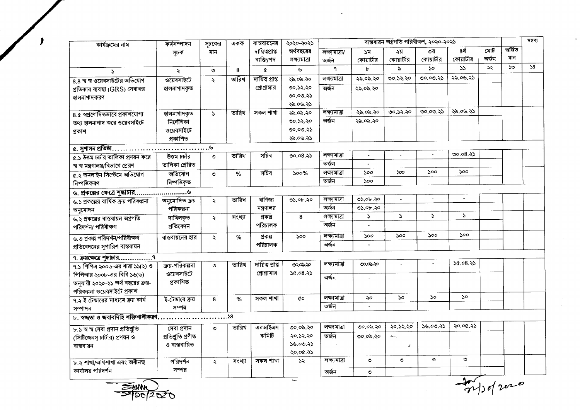| কার্যক্রমের নাম                                                                          | কৰ্মসম্পাদন        | সূচকের               | একক    | বাস্তবায়নের   | ২০২০-২০২১    | ৰান্তৰায়ন অগ্ৰগতি পৰিবীক্ষণ, ২০২০-২০২১ |                             |                |                             |                |                    |              | মন্তব্য |
|------------------------------------------------------------------------------------------|--------------------|----------------------|--------|----------------|--------------|-----------------------------------------|-----------------------------|----------------|-----------------------------|----------------|--------------------|--------------|---------|
|                                                                                          | সূচক               | মান                  |        | দায়িতপ্ৰাপ্ত  | অর্থবছরের    | লক্ষ্যমাত্ৰা/                           | ১ম                          | ২য়            | ৩য়                         | 8 <sup>4</sup> | মোট $\overline{a}$ | অৰ্জিত       |         |
|                                                                                          |                    |                      |        | ব্যক্তি/পদ     | লক্ষ্যমাত্ৰা | অৰ্জন                                   | কোয়ার্টার                  | কোয়ার্টার     | কোয়ার্টার                  | কোয়ার্টার     | অৰ্জন              | মান          |         |
| $\mathbf{r}$                                                                             | ź                  | $\circ$              | 8      | $\alpha$       | ىل           | ٩                                       | Ъ                           | $\mathbf{a}$   | ১০                          | 55             | ১২                 | $50^{\circ}$ | 58      |
| 8.8 স্ব স্ব ওয়েবসাইটের অভিযোগ                                                           | ওয়েবসাইটে         | Š.                   | তারিখ  | দায়িত প্ৰাপ্ত | ২৯.০৯.২০     | লক্ষ্যমাত্ৰা                            | ২৯.০৯.২০                    | ৩০.১২.২০       | ৩০.০৩.২১                    | ২৯.০৬.২১       |                    |              |         |
| প্রতিকার ব্যবস্থা (GRS) সেবাবক্স                                                         | হালনাগাদকৃত        |                      |        | প্রোগ্রামার    | ৩০.১২.২০     | অৰ্জন                                   | ২৯.০৯.২০                    |                |                             |                |                    |              |         |
| হালনাগাদকরণ                                                                              |                    |                      |        |                | ৩০.০৩.২১     |                                         |                             |                |                             |                |                    |              |         |
|                                                                                          |                    |                      |        |                | ২৯.০৬.২১     |                                         |                             |                |                             |                |                    |              |         |
| ৪.৫ স্বপ্রণোদিতভাবে প্রকাশযোগ্য                                                          | হালনাগাদকৃত        | $\mathbf{v}$         | তারিখ  | সকল শাখা       | ২৯.০৯.২০     | লক্ষ্যমাত্ৰা                            | ২৯.০৯.২০                    | ৩০.১২.২০       | ৩০.০৩.২১                    | ২৯.০৬.২১       |                    |              |         |
| তথ্য হালনাগাদ করে ওয়েবসাইটে                                                             | নিৰ্দেশিকা         |                      |        |                | ৩০.১২.২০     | অৰ্জন                                   | ২৯.০৯.২০                    |                |                             |                |                    |              |         |
| প্ৰকাশ                                                                                   | ওয়েবসাইটে         |                      |        |                | 00.00.35     |                                         |                             |                |                             |                |                    |              |         |
|                                                                                          | প্ৰকাশিত           |                      |        |                | ২৯.০৬.২১     |                                         |                             |                |                             |                |                    |              |         |
| $a.$ সুশাসন প্রতিষ্ঠা $\ldots \ldots \ldots \ldots \ldots \ldots \ldots \ldots \ldots$ ে |                    |                      |        |                |              |                                         |                             |                |                             |                |                    |              |         |
| ৫.১ উত্তম চর্চার তালিকা প্রণয়ন করে                                                      | উত্তম চৰ্চার       | $\circ$              | তারিখ  | সচিব           | 00.08.35     | লক্ষ্যমাত্ৰা                            | $\blacksquare$              | $\blacksquare$ |                             | ৩০.০৪.২১       |                    |              |         |
| স্ব স্ব মন্ত্রণালয়/বিভাগে প্রেরণ                                                        | তালিকা প্ৰেরিত     |                      |        |                |              | অৰ্জন                                   | $\omega$                    |                |                             |                |                    |              |         |
| ৫.২ অনলাইন সিস্টেমে অভিযোগ                                                               | অভিযোগ             | ৩                    | %      | সচিব           | 500%         | লক্ষ্যমাত্ৰা                            | $\mathcal{S}^{\mathcal{O}}$ | $\infty$       | 500                         | 500            |                    |              |         |
| নিষ্পত্তিকরণ                                                                             | নিষ্পত্তিকৃত       |                      |        |                |              | অৰ্জন                                   | 500                         |                |                             |                |                    |              |         |
|                                                                                          |                    |                      |        |                |              |                                         |                             |                |                             |                | $\mathbf{v}$       |              |         |
| ৬.১ প্রকল্পের বার্ষিক ক্রয় পরিকল্পনা                                                    | অনুমোদিত ক্ৰয়     | $\lambda$            | তারিখ  | ৰাণিজ্য        | ৩১.০৮.২০     | লক্ষ্যমাত্ৰা                            | ৩১.০৮.২০                    | $\blacksquare$ | $\sim$                      | $\omega$       |                    |              |         |
| অনুমোদন                                                                                  | পরিকল্পনা          |                      |        | মন্ত্ৰণালয়    |              | অৰ্জন                                   | ৩১.০৮.২০                    |                |                             |                |                    |              |         |
| ৬.২ প্রকল্পের বাস্তবায়ন অগ্রগতি                                                         | দাখিলকত            | $\ddot{\mathbf{z}}$  | সংখ্যা | প্ৰকল্প        | 8            | লক্ষ্যমাত্ৰা                            | $\mathcal{L}$               | $\mathcal{L}$  | $\Delta$                    | $\mathbf{S}$   |                    |              |         |
| পরিদর্শন/ পরিবীক্ষণ                                                                      | প্ৰতিবেদন          |                      |        | পরিচালক        |              | অৰ্জন                                   |                             |                |                             |                |                    |              |         |
| ৬.৩ প্রকল্প পরিদর্শন/পরিবীক্ষণ                                                           | বাস্তবায়নের হার   | $\ddot{\mathcal{L}}$ | %      | প্ৰকল্প        | 500          | লক্ষ্যমাত্ৰা                            | ১০০                         | 500            | 500                         | ১০০            |                    |              |         |
| প্রতিবেদনের সুপারিশ বাস্তবায়ন                                                           |                    |                      |        | পরিচালক        |              | অৰ্জন                                   |                             |                |                             |                |                    |              |         |
|                                                                                          |                    |                      |        |                |              |                                         |                             |                |                             |                |                    |              |         |
| ৭.১ পিপিএ ২০০৬-এর ধারা ১১(২) ও                                                           | ক্রয়-পরিকল্পনা    | ৩                    | তারিখ  | দায়িত প্ৰাপ্ত | ৩೦,೦ಎ.২೦     | লক্ষ্যমাত্ৰা                            | ৩০.০৯.২০                    | $\blacksquare$ |                             | 56.08.35       |                    |              |         |
| পিপিআর ২০০৮-এর বিধি ১৬(৬)                                                                | ওয়েবসাইটে         |                      |        | প্রোগ্রামার    | 30.08.35     | অৰ্জন                                   | $\sim$                      |                |                             |                |                    |              |         |
| অনুযায়ী ২০২০-২১ অর্থ বছরের ক্রয়-                                                       | প্ৰকাশিত           |                      |        |                |              |                                         |                             |                |                             |                |                    |              |         |
| পরিকল্পনা ওয়েবসাইটে প্রকাশ                                                              |                    |                      |        |                |              |                                         |                             |                |                             |                |                    |              |         |
| ৭.২ ই-টেন্ডারের মাধ্যমে ক্রয় কার্য                                                      | ই-টেন্ডারে ক্রয়   | 8                    | $\%$   | সকল শাখা       | άo           | লক্ষ্মোত্ৰা                             | ২০                          | 50             | $\mathcal{S}^{\mathcal{O}}$ | $50^{\circ}$   |                    |              |         |
| সম্পাদন                                                                                  | সম্পন্ন            |                      |        |                |              | অৰ্জন                                   | $\mathcal{L}$               |                |                             |                |                    |              |         |
| ৮. স্বচ্ছতা ও জবাবদিহি শক্তিশালীকরণ                                                      |                    | . 58                 |        |                |              |                                         |                             |                |                             |                |                    |              |         |
| ৮.১ স্ব স্ব সেবা প্ৰদান প্ৰতিশ্ৰুতি                                                      | সেবা প্ৰদান        | $\bullet$            | তারিখ  | এনআইএস         | ৩০.০৯.২০     | লক্ষ্যমাত্ৰা                            | ৩০.০৯.২০                    | ২০.১২.২০       | 36.00.35                    | ২০.০৫.২১       |                    |              |         |
| (সিটিজেনস চার্টার) প্রণয়ন ও                                                             | প্ৰতিশ্ৰুতি প্ৰণীত |                      |        | কমিটি          | ২০.১২.২০     | অৰ্জন                                   | ৩০.০৯.২০                    | And            |                             |                |                    |              |         |
| ৰান্তবায়ন                                                                               | ও বাস্তবায়িত      |                      |        |                | 38.00.35     |                                         |                             | $\mathcal{L}$  |                             |                |                    |              |         |
|                                                                                          |                    |                      |        |                | ২০.০৫.২১     |                                         |                             |                |                             |                |                    |              |         |
| ৮.২ শাখা/অধিশাখা এবং অধীনস্থ                                                             | পরিদর্শন           | $\ddot{\mathbf{z}}$  | সংখ্যা | সকল শাখা       | 55           | লক্ষ্যমাত্ৰা                            | $\circ$                     | $\circ$        | $\circ$                     | ৩              |                    |              |         |
| কার্যালয় পরিদর্শন                                                                       | সম্পন্ন            |                      |        |                |              | অৰ্জন                                   | $\circ$                     |                |                             |                |                    |              |         |
|                                                                                          |                    |                      |        |                |              |                                         |                             |                |                             | ۸              |                    |              |         |



.

 $\frac{1}{\frac{1}{\gamma}}$ 

 $\ddot{\phantom{a}}$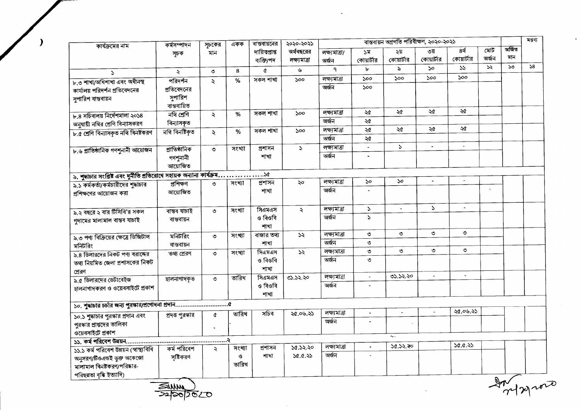| কার্যক্রমের নাম                                                         | কৰ্মসম্পাদন          | সূচকের              | একক    | ৰান্তবায়নের   | ২০২০-২০২১     |               |                             | বাস্তবায়ন অগ্রগতি পরিবীক্ষণ, ২০২০-২০২১ |                |                    |       |              | মন্তব্য |
|-------------------------------------------------------------------------|----------------------|---------------------|--------|----------------|---------------|---------------|-----------------------------|-----------------------------------------|----------------|--------------------|-------|--------------|---------|
|                                                                         | সূচক                 | মান                 |        | দায়িত্প্ৰাপ্ত | অর্থবছরের     | লক্ষ্যমাত্ৰা/ | ১ম                          | ২য়                                     | ৩য়            | $\overline{8}$ र्थ | মোট   | অৰ্জিত       |         |
|                                                                         |                      |                     |        | ব্যক্তি/পদ     | লক্ষ্যমাত্ৰা  | অৰ্জন         | কোয়ার্টার                  | কোয়ার্টার                              | কোয়ার্টার     | কোয়ার্টার         | অৰ্জন | মান          |         |
| $\mathbf{N}$                                                            | $\ddot{\mathcal{L}}$ | ৩                   | 8      | ¢              | ৬             | ٩             | Ъ                           | $\lambda$                               | $50^{\circ}$   | 55                 | ১২    | $50^{\circ}$ | 58      |
| ৮.৩ শাখা/অধিশাখা এবং অধীনস্থ                                            | পরিদর্শন             | $\ddot{\sim}$       | %      | সকল শাখা       | 500           | লক্ষ্যমাত্ৰা  | 500                         | 500                                     | 500            | 500                |       |              |         |
| কার্যালয় পরিদর্শন প্রতিবেদনের                                          | প্রতিবেদনের          |                     |        |                |               | অৰ্জন         | $\mathcal{S}^{\mathcal{O}}$ |                                         |                |                    |       |              |         |
| সুপারিশ বান্তবায়ন                                                      | সুপারিশ              |                     |        |                |               |               |                             |                                         |                |                    |       |              |         |
|                                                                         | বান্তবায়িত          |                     |        |                |               |               |                             |                                         |                |                    |       |              |         |
| ৮.৪ সচিবালয় নির্দেশমালা ২০১৪                                           | নথি শ্ৰেণি           | ২                   | %      | সকল শাখা       | 500           | লক্ষ্যমাত্ৰা  | ২৫                          | ২৫                                      | ২৫             | ২৫                 |       |              |         |
| অনুযায়ী নথির শ্রেণি বিন্যাসকরণ                                         | বিন্যাসকৃত           |                     |        |                |               | অৰ্জন         | ২৫                          |                                         |                |                    |       |              |         |
| ৮.৫ শ্ৰেণি বিন্যাসকৃত নথি বিনষ্টকরণ                                     | নথি বিনষ্টিকৃত       | ২                   | %      | সকল শাখা       | 500           | লক্ষ্যমাত্ৰা  | ২৫                          | ২৫                                      | ২৫             | ২৫                 |       |              |         |
|                                                                         |                      |                     |        |                |               | অৰ্জন         | $\overline{\mathcal{A}}$    |                                         |                |                    |       |              |         |
| ৮.৬ প্রাতিষ্ঠানিক গণশুনানী আয়োজন                                       | প্ৰাতিষ্ঠানিক        | $\circ$             | সংখ্যা | প্ৰশাসন        | $\mathcal{L}$ | লক্ষ্যমাত্ৰা  | $\blacksquare$              | $\mathcal{L}$                           | $\blacksquare$ | $\sim$             |       |              |         |
|                                                                         | গণশুনানী             |                     |        | শাখা           |               | অৰ্জন         | $\blacksquare$              |                                         |                |                    |       |              |         |
|                                                                         | আয়োজিত              |                     |        |                |               |               |                             |                                         |                |                    |       |              |         |
| ৯. শুদ্ধাচার সংশ্লিষ্ট এবং দুর্নীতি প্রতিরোধে সহায়ক অন্যান্য কার্যক্রম |                      |                     |        | ১৫             |               |               |                             |                                         |                |                    |       |              |         |
| ৯.১ কর্মকর্তা/কর্মচারীদের শুদ্ধাচার                                     | প্ৰশিক্ষণ            | ৩                   | সংখ্যা | প্ৰশাসন        | ২০            | লক্ষ্যমাত্ৰা  | $\mathcal{S}^{\circ}$       | $\mathcal{S}^{\mathcal{O}}$             | $\blacksquare$ | $\blacksquare$     |       |              |         |
| প্রশিক্ষণের আয়োজন করা                                                  | আয়োজিত              |                     |        | শাখা           |               | অৰ্জন         |                             |                                         |                |                    |       |              |         |
|                                                                         |                      |                     |        |                |               |               |                             |                                         |                |                    |       |              |         |
| ৯.২ বছরে ২ বার টিসিবি'র সকল                                             | ৰান্তৰ যাচাই         | $\circ$             | সংখ্যা | সিত্ৰমত্ৰস     | $\ddot{\sim}$ | লক্ষ্যমাত্ৰা  | $\mathcal{L}$               | $\Delta$                                | $\mathbf{r}$   | $\overline{a}$     |       |              |         |
| গুদামের মালামাল বান্তব যাচাই                                            | বান্তবায়ন           |                     |        | ও বিওবি        |               | অৰ্জন         | $\mathbf{A}$                |                                         |                |                    |       |              |         |
|                                                                         |                      |                     |        | শাখা           |               |               |                             |                                         |                |                    |       |              |         |
| ৯.৩ পণ্য বিক্রিয়ের ক্ষেত্রে ডিজিটাল                                    | মনিটরিং              | $\circ$             | সংখ্যা | বাজার তথ্য     | ১২            | লক্ষ্যমাত্ৰা  | ৩                           | $\circ$                                 | $\circ$        | $\circ$            |       |              |         |
| মনিটরিং                                                                 | বান্তবায়ন           |                     |        | শাখা           |               | অৰ্জন         | $\circ$                     |                                         |                |                    |       |              |         |
| ৯.৪ ডিলারদের নিকট পণ্য বরাদ্দের                                         | তথ্য প্ৰেরণ          | ৩                   | সংখ্যা | সিএমএস         | $\mathcal{Z}$ | লক্ষ্যমাত্ৰা  | $\circ$                     | $\circ$                                 | ৩              | $\circ$            |       |              |         |
| তথ্য নিয়মিত জেলা প্রশাসকের নিকট                                        |                      |                     |        | ও বিওবি        |               | অৰ্জন         | $\circ$                     |                                         |                |                    |       |              |         |
| প্ৰেৰণ                                                                  |                      |                     |        | শাখা           |               |               |                             |                                         |                |                    |       |              |         |
| ৯.৫ ডিলারদের ডেটাবেইজ                                                   | হালনাগাদকৃত          | ৩                   | তারিখ  | সিএমএস         | 05.52.20      | লক্ষ্যমাত্ৰা  | $\bullet$                   | ৩১.১২.২০                                | $\blacksquare$ | $\blacksquare$     |       |              |         |
| হালনাগাদকরণ ও ওয়েবসাইটে প্রকাশ                                         |                      |                     |        | ও বিওবি        |               | অৰ্জন         | $\overline{\phantom{a}}$    |                                         |                |                    |       |              |         |
|                                                                         |                      |                     |        | শাখা           |               |               |                             |                                         |                |                    |       |              |         |
|                                                                         |                      |                     |        |                |               |               |                             |                                         |                |                    |       |              |         |
| ১০.১ শুদ্ধাচার পুরস্কার প্রদান এবং                                      | প্রদত্ত পুরস্কার     | ¢                   | তারিখ  | সচিব           | ২৫.০৬.২১      | লক্ষ্যমাত্ৰা  | $\blacksquare$              | $\blacksquare$                          |                | ২৫.০৬.২১           |       |              |         |
| পুরস্কার প্রাপ্তদের তালিকা                                              |                      |                     |        |                |               | অৰ্জন         | $\overline{\phantom{a}}$    |                                         |                |                    |       |              |         |
| ওয়েবসাইটে প্ৰকাশ                                                       |                      |                     |        |                |               |               |                             |                                         |                |                    |       |              |         |
|                                                                         |                      |                     |        |                |               |               |                             | $\mathbf{A}_{\mathbf{A}}$               |                |                    |       |              |         |
| ১১.১ কর্ম পরিবেশ উন্নয়ন (স্বাস্থ্যবিধি                                 | কৰ্ম পরিবেশ          | $\ddot{\mathbf{z}}$ | সংখ্যা | প্ৰশাসন        | ১৫.১২.২০      | লক্ষ্যমাত্ৰা  | $\ddot{\phantom{1}}$        | ১৫.১২.২০                                |                | 20.0.35            |       |              |         |
| অনুসরণ/টিওএন্ডই ভুক্ত অকেজো                                             | সৃষ্টিকরণ            |                     | ও      | শাখা           | 66.0.35       | অৰ্জন         | $\mathbf{r}$                |                                         |                |                    |       |              |         |
| মালামাল বিনষ্টকরণ/পরিষ্কার-                                             |                      |                     | তারিখ  |                |               |               |                             |                                         |                |                    |       |              |         |
| পরিছন্নতা বৃদ্ধি ইত্যাদি)                                               |                      |                     |        |                |               |               |                             |                                         |                |                    |       |              |         |
|                                                                         |                      |                     |        |                |               |               |                             |                                         |                |                    |       | In           |         |

 $\sim$ 

 $\frac{2000}{2200}$ 

 $\lambda$ 

Informate